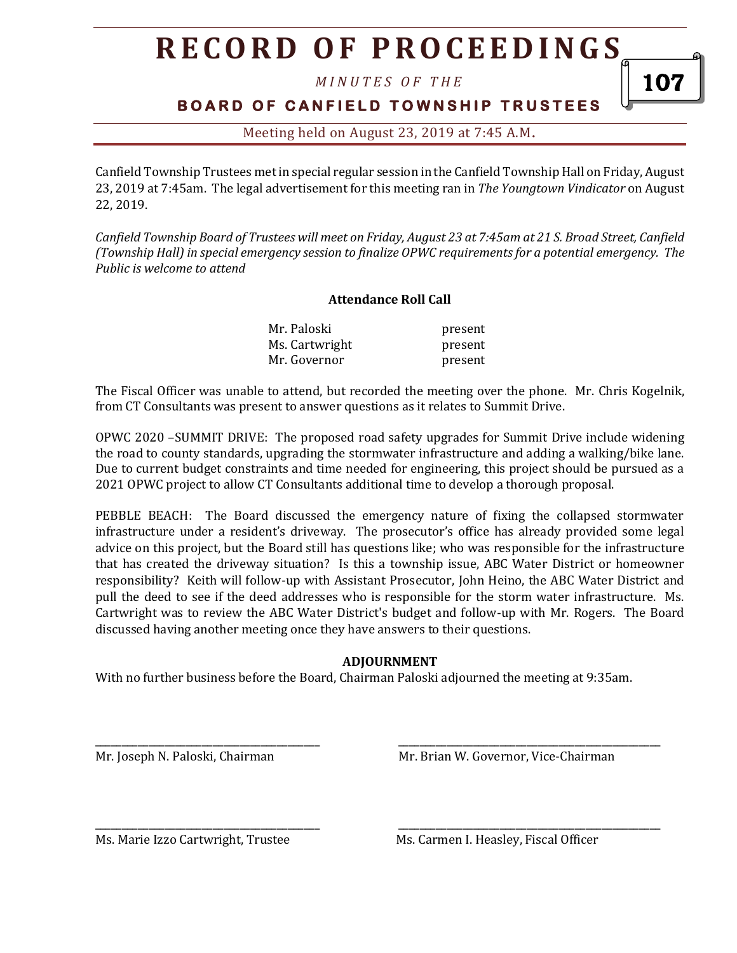# **R E C O R D O F P R O C E E D I N GS**

*M I N U T E S O F T H E* 

### **B O A R D O F C A N F I E L D T O W N S H I P T R U S T E E S**

Meeting held on August 23, 2019 at 7:45 A.M**.**

Canfield Township Trustees met in special regular session in the Canfield Township Hall on Friday, August 23, 2019 at 7:45am. The legal advertisement for this meeting ran in *The Youngtown Vindicator* on August 22, 2019.

*Canfield Township Board of Trustees will meet on Friday, August 23 at 7:45am at 21 S. Broad Street, Canfield (Township Hall) in special emergency session to finalize OPWC requirements for a potential emergency. The Public is welcome to attend*

#### **Attendance Roll Call**

| Mr. Paloski    | present |
|----------------|---------|
| Ms. Cartwright | present |
| Mr. Governor   | present |

The Fiscal Officer was unable to attend, but recorded the meeting over the phone. Mr. Chris Kogelnik, from CT Consultants was present to answer questions as it relates to Summit Drive.

OPWC 2020 –SUMMIT DRIVE: The proposed road safety upgrades for Summit Drive include widening the road to county standards, upgrading the stormwater infrastructure and adding a walking/bike lane. Due to current budget constraints and time needed for engineering, this project should be pursued as a 2021 OPWC project to allow CT Consultants additional time to develop a thorough proposal.

PEBBLE BEACH: The Board discussed the emergency nature of fixing the collapsed stormwater infrastructure under a resident's driveway. The prosecutor's office has already provided some legal advice on this project, but the Board still has questions like; who was responsible for the infrastructure that has created the driveway situation? Is this a township issue, ABC Water District or homeowner responsibility? Keith will follow-up with Assistant Prosecutor, John Heino, the ABC Water District and pull the deed to see if the deed addresses who is responsible for the storm water infrastructure. Ms. Cartwright was to review the ABC Water District's budget and follow-up with Mr. Rogers. The Board discussed having another meeting once they have answers to their questions.

#### **ADJOURNMENT**

\_\_\_\_\_\_\_\_\_\_\_\_\_\_\_\_\_\_\_\_\_\_\_\_\_\_\_\_\_\_\_\_\_\_\_\_\_\_\_\_\_\_ \_\_\_\_\_\_\_\_\_\_\_\_\_\_\_\_\_\_\_\_\_\_\_\_\_\_\_\_\_\_\_\_\_\_\_\_\_\_\_\_\_\_\_\_\_\_\_\_\_

\_\_\_\_\_\_\_\_\_\_\_\_\_\_\_\_\_\_\_\_\_\_\_\_\_\_\_\_\_\_\_\_\_\_\_\_\_\_\_\_\_\_ \_\_\_\_\_\_\_\_\_\_\_\_\_\_\_\_\_\_\_\_\_\_\_\_\_\_\_\_\_\_\_\_\_\_\_\_\_\_\_\_\_\_\_\_\_\_\_\_\_

With no further business before the Board, Chairman Paloski adjourned the meeting at 9:35am.

Mr. Joseph N. Paloski, Chairman Mr. Brian W. Governor, Vice-Chairman

Ms. Marie Izzo Cartwright, Trustee Ms. Carmen I. Heasley, Fiscal Officer

107